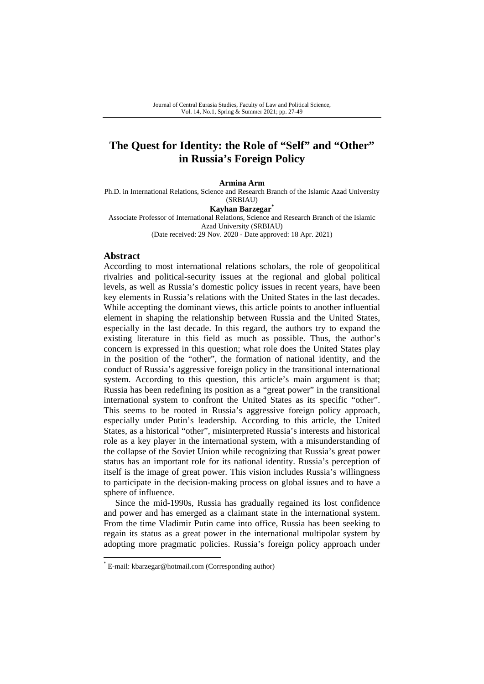# **The Quest for Identity: the Role of "Self" and "Other" in Russia's Foreign Policy**

**Armina Arm** 

Ph.D. in International Relations, Science and Research Branch of the Islamic Azad University (SRBIAU)

**Kayhan Barzegar\*** 

Associate Professor of International Relations, Science and Research Branch of the Islamic Azad University (SRBIAU) (Date received: 29 Nov. 2020 - Date approved: 18 Apr. 2021)

#### **Abstract**

According to most international relations scholars, the role of geopolitical rivalries and political-security issues at the regional and global political levels, as well as Russia's domestic policy issues in recent years, have been key elements in Russia's relations with the United States in the last decades. While accepting the dominant views, this article points to another influential element in shaping the relationship between Russia and the United States, especially in the last decade. In this regard, the authors try to expand the existing literature in this field as much as possible. Thus, the author's concern is expressed in this question; what role does the United States play in the position of the "other", the formation of national identity, and the conduct of Russia's aggressive foreign policy in the transitional international system. According to this question, this article's main argument is that; Russia has been redefining its position as a "great power" in the transitional international system to confront the United States as its specific "other". This seems to be rooted in Russia's aggressive foreign policy approach, especially under Putin's leadership. According to this article, the United States, as a historical "other", misinterpreted Russia's interests and historical role as a key player in the international system, with a misunderstanding of the collapse of the Soviet Union while recognizing that Russia's great power status has an important role for its national identity. Russia's perception of itself is the image of great power. This vision includes Russia's willingness to participate in the decision-making process on global issues and to have a sphere of influence.

Since the mid-1990s, Russia has gradually regained its lost confidence and power and has emerged as a claimant state in the international system. From the time Vladimir Putin came into office, Russia has been seeking to regain its status as a great power in the international multipolar system by adopting more pragmatic policies. Russia's foreign policy approach under

<sup>\*</sup> E-mail: kbarzegar@hotmail.com (Corresponding author)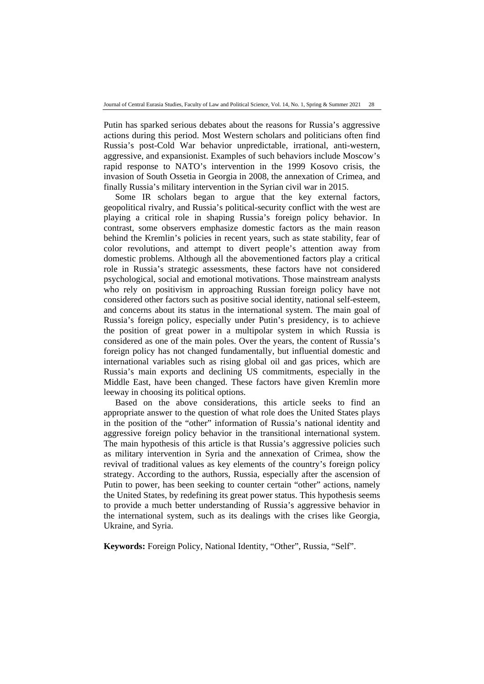Putin has sparked serious debates about the reasons for Russia's aggressive actions during this period. Most Western scholars and politicians often find Russia's post-Cold War behavior unpredictable, irrational, anti-western, aggressive, and expansionist. Examples of such behaviors include Moscow's rapid response to NATO's intervention in the 1999 Kosovo crisis, the invasion of South Ossetia in Georgia in 2008, the annexation of Crimea, and finally Russia's military intervention in the Syrian civil war in 2015.

Some IR scholars began to argue that the key external factors, geopolitical rivalry, and Russia's political-security conflict with the west are playing a critical role in shaping Russia's foreign policy behavior. In contrast, some observers emphasize domestic factors as the main reason behind the Kremlin's policies in recent years, such as state stability, fear of color revolutions, and attempt to divert people's attention away from domestic problems. Although all the abovementioned factors play a critical role in Russia's strategic assessments, these factors have not considered psychological, social and emotional motivations. Those mainstream analysts who rely on positivism in approaching Russian foreign policy have not considered other factors such as positive social identity, national self-esteem, and concerns about its status in the international system. The main goal of Russia's foreign policy, especially under Putin's presidency, is to achieve the position of great power in a multipolar system in which Russia is considered as one of the main poles. Over the years, the content of Russia's foreign policy has not changed fundamentally, but influential domestic and international variables such as rising global oil and gas prices, which are Russia's main exports and declining US commitments, especially in the Middle East, have been changed. These factors have given Kremlin more leeway in choosing its political options.

Based on the above considerations, this article seeks to find an appropriate answer to the question of what role does the United States plays in the position of the "other" information of Russia's national identity and aggressive foreign policy behavior in the transitional international system. The main hypothesis of this article is that Russia's aggressive policies such as military intervention in Syria and the annexation of Crimea, show the revival of traditional values as key elements of the country's foreign policy strategy. According to the authors, Russia, especially after the ascension of Putin to power, has been seeking to counter certain "other" actions, namely the United States, by redefining its great power status. This hypothesis seems to provide a much better understanding of Russia's aggressive behavior in the international system, such as its dealings with the crises like Georgia, Ukraine, and Syria.

**Keywords:** Foreign Policy, National Identity, "Other", Russia, "Self".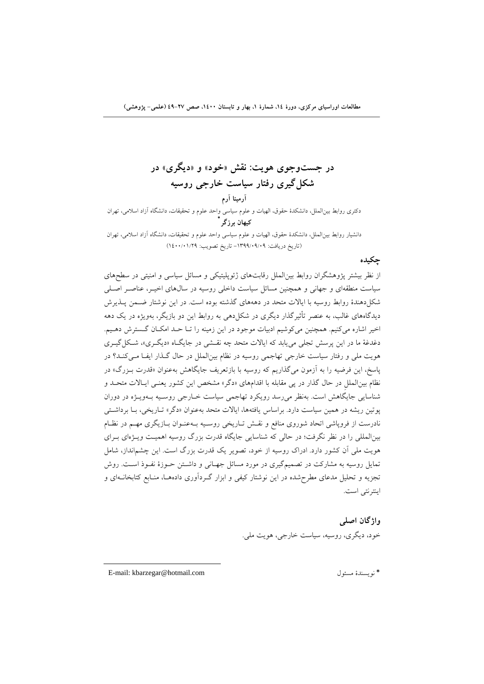**در جستوجوي هويت: نقش «خود» و «ديگري» در شكلگيري رفتار سياست خارجي روسيه آرمينا آرم**  دكتري روابط بينالملل، دانشكدة حقوق، الهيات و علوم سياسي واحد علوم و تحقيقات، دانشگاه آزاد اسلامي، تهران **\* كيهان برزگر** دانشيار روابط بينالملل، دانشكدة حقوق، الهيات و علوم سياسي واحد علوم و تحقيقات، دانشگاه آزاد اسلامي، تهران (تاريخ دريافت: -1399/09/09 تاريخ تصويب: 1400/01/29)

#### **چكيده**

از نظر بيشتر پژوهشگران روابط بينالملل رقابتهاي ژئوپليتيكي و مسائل سياسي و امنيتي در سطحهاي سياست منطقهاي و جهاني و همچنين مسائل سياست داخلي روسيه در سالهاي اخيـر، عناصـر اصـلي شكلدهندة روابط روسيه با ايالات متحد در دهههاي گذشته بوده است. در اين نوشتار ضـمن پـذيرش ديدگاههاي غالب، به عنصر تأثيرگذار ديگري در شكلدهي به روابط اين دو بازيگر، بهويژه در يك دهه اخير اشاره ميكنيم. همچنين ميكوشيم ادبيات موجود در اين زمينه را تـا حـد امكـان گـسترش دهـيم. دغدغة ما در اين پرسش تجلي مييابد كه ايالات متحد چه نقـشي در جايگـاه «ديگـري»، شـكلگيـري هويت ملي و رفتار سياست خارجي تهاجمي روسيه در نظام بينالملل در حال گـذار ايفـا مـيكنـد؟ در پاسخ، اين فرضيه را به آزمون ميگذاريم كه روسيه با بازتعريف جايگاهش بهعنوان «قدرت بـزرگ» در نظام بينالمللِ در حال گذار در پي مقابله با اقدامهاي «دگر» مشخص اين كشور يعنـي ايـالات متحـد و شناسايي جايگاهش است. بهنظر ميرسد رويكرد تهاجمي سياست خـارجي روسـيه بـهويـژه در دوران پوتين ريشه در همين سياست دارد. براساس يافتهها، ايالات متحد بهعنوان «دگر» تـاريخي، بـا برداشـتي نادرست از فروپاشي اتحاد شوروي منافع و نقـش تـاريخي روسـيه بـهعنـوان بـازيگري مهـم در نظـام بينالمللي را در نظر نگرفت؛ در حالي كه شناسايي جايگاه قدرت بزرگ روسيه اهميـت ويـژهاي بـراي هويت ملي آن كشور دارد. ادراك روسيه از خود، تصوير يك قدرت بزرگ است. اين چشمانداز، شامل تمايل روسيه به مشاركت در تصميمگيري در مورد مسائل جهـاني و داشـتن حـوزة نفـوذ اسـت. روش تجزيه و تحليل مدعاي مطرحشده در اين نوشتار كيفي و ابزار گـردآوري دادههـا، منـابع كتابخانـهاي و اينترنتي است.

> **واژگان اصلي**  خود، ديگري، روسيه، سياست خارجي، هويت ملي.

E-mail: kbarzegar@hotmail.com مسئول نويسندة\*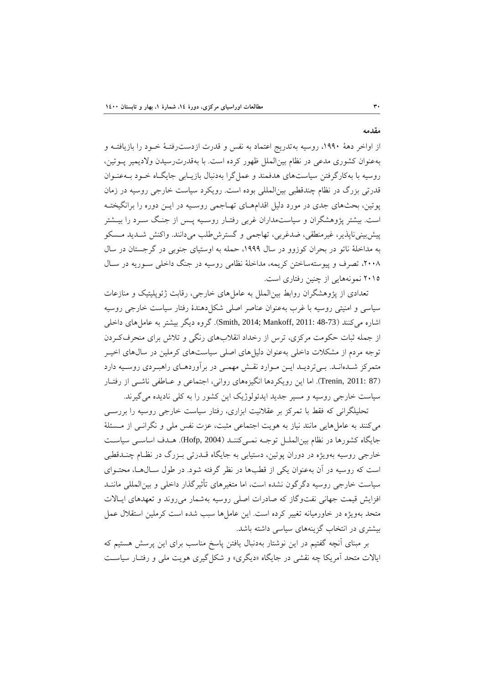**مقدمه** 

از اواخر دهة ،1990 روسيه بهتدريج اعتماد به نفس و قدرت ازدسترفتـة خـود را بازيافتـه و بهعنوان كشوري مدعي در نظام بينالملل ظهور كرده است. با بهقدرترسيدن ولاديمير پـوتين، روسيه با بهكارگرفتن سياستهاي هدفمند و عملگرا بهدنبال بازيـابي جايگـاه خـود بـهعنـوان قدرتي بزرگ در نظام چندقطبي بينالمللي بوده است. رويكرد سياست خارجي روسيه در زمان پوتين، بحثهاي جدي در مورد دليل اقدامهـاي تهـاجمي روسـيه در ايـن دوره را برانگيختـه است. بيشتر پژوهشگران و سياستمداران غربي رفتـار روسـيه پـس از جنـگ سـرد را بيـشتر پيشبينيناپذير، غيرمنطقي، ضدغربي، تهاجمي و گسترشطلب ميدانند. واكنش شـديد مـسكو به مداخلة ناتو در بحران كوزوو در سال ،1999 حمله به اوستياي جنوبي در گرجستان در سال ،2008 تصرف و پيوستهساختن كريمه، مداخلة نظامي روسيه در جنگ داخلي سـوريه در سـال 2015 نمونههايي از چنين رفتاري است.

تعدادي از پژوهشگران روابط بينالملل به عاملهاي خارجي، رقابت ژئوپليتيك و منازعات سياسي و امنيتي روسيه با غرب بهعنوان عناصر اصلي شكلدهندة رفتار سياست خارجي روسيه اشاره ميكنند (37-48 :Smith, 2014; Mankoff, 2011). گروه ديگر بيشتر به عامل هاي داخلي از جمله ثبات حكومت مركزي، ترس از رخداد انقلابهاي رنگي و تلاش براي منحرفكـردن توجه مردم از مشكلات داخلي بهعنوان دليلهاي اصلي سياستهاي كرملين در سالهاي اخيـر متمركز شـدهانـد. بـيترديـد ايـن مـوارد نقـش مهمـي در برآوردهـاي راهبـردي روسـيه دارد (87 2011: ,Trenin(. اما اين رويكردها انگيزههاي رواني، اجتماعي و عـاطفي ناشـي از رفتـار سياست خارجي روسيه و مسير جديد ايدئولوژيك اين كشور را به كلي ناديده ميگيرند.

تحليلگراني كه فقط با تمركز بر عقلانيت ابزاري، رفتار سياست خارجي روسيه را بررسـي ميكنند به عاملهايي مانند نياز به هويت اجتماعي مثبت، عزت نفس ملي و نگرانـي از مـسئلة جايگاه كشورها در نظام بينالملـل توجـه نمـيكننـد (2004 ,Hofp(. هـدف اساسـي سياسـت خارجي روسيه بهويژه در دوران پوتين، دستيابي به جايگاه قـدرتي بـزرگ در نظـام چنـدقطبي است كه روسيه در آن بهعنوان يكي از قطبها در نظر گرفته شود. در طول سـالهـا، محتـواي سياست خارجي روسيه دگرگون نشده است، اما متغيرهاي تأثيرگذار داخلي و بينالمللي ماننـد افزايش قيمت جهاني نفتوگاز كه صادرات اصلي روسيه بهشمار ميروند و تعهدهاي ايـالات متحد بهويژه در خاورميانه تغيير كرده است. اين عاملها سبب شده است كرملين استقلال عمل بيشتري در انتخاب گزينههاي سياسي داشته باشد.

بر مبناي آنچه گفتيم در اين نوشتار بهدنبال يافتن پاسخ مناسب براي اين پرسش هستيم كه ايالات متحد آمريكا چه نقشي در جايگاه «ديگري» و شكلگيري هويت ملي و رفتـار سياسـت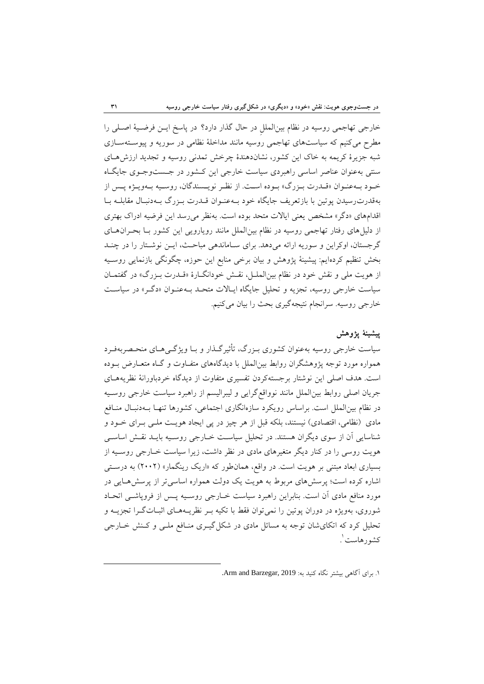خارجي تهاجمي روسيه در نظام بينالمللِ در حال گذار دارد؟ در پاسخ ايـن فرضـية اصـلي را مطرح ميكنيم كه سياستهاي تهاجمي روسيه مانند مداخلة نظامي در سوريه و پيوسـتهسـازي شبه جزيرة كريمه به خاك اين كشور، نشاندهندة چرخش تمدني روسيه و تجديد ارزشهـاي سنتي بهعنوان عناصر اساسي راهبردي سياست خارجي اين كـشور در جـستوجـوي جايگـاه خـود بـهعنـوان «قـدرت بـزرگ» بـوده اسـت. از نظـر نويـسندگان، روسـيه بـهويـژه پـس از بهقدرترسيدن پوتين با بازتعريف جايگاه خود بـهعنـوان قـدرت بـزرگ بـهدنبـال مقابلـه بـا اقدامهاي «دگر» مشخص يعني ايالات متحد بوده است. بهنظر ميرسد اين فرضيه ادراك بهتري از دليلهاي رفتار تهاجمي روسيه در نظام بينالملل مانند رويارويي اين كشور بـا بحـرانهـاي گرجستان، اوكراين و سوريه ارائه ميدهد. براي سـاماندهي مباحـث، ايـن نوشـتار را در چنـد بخش تنظيم كردهايم: پيشينة پژوهش و بيان برخي منابع اين حوزه، چگونگي بازنمايي روسـيه از هويت ملي و نقش خود در نظام بينالملـل، نقـش خودانگـارة «قـدرت بـزرگ» در گفتمـان سياست خارجي روسيه، تجزيه و تحليل جايگاه ايـالات متحـد بـهعنـوان «دگـر» در سياسـت خارجي روسيه. سرانجام نتيجهگيري بحث را بيان ميكنيم.

## **پيشينة پژوهش**

سياست خارجي روسيه بهعنوان كشوري بـزرگ، تأثيرگـذار و بـا ويژگـيهـاي منحـصربهفـرد همواره مورد توجه پژوهشگران روابط بينالملل با ديدگاههاي متفـاوت و گـاه متعـارض بـوده است. هدف اصلي اين نوشتار برجستهكردن تفسيري متفاوت از ديدگاه خردباورانة نظريههـاي جريان اصلي روابط بينالملل مانند نوواقعگرايي و ليبراليسم از راهبرد سياست خارجي روسـيه در نظام بينالملل است. براساس رويكرد سازهانگاري اجتماعي، كشورها تنهـا بـهدنبـال منـافع مادي (نظامي، اقتصادي) نيستند، بلكه قبل از هر چيز در پي ايجاد هويـت ملـي بـراي خـود و شناسايي آن از سوي ديگران هستند. در تحليل سياسـت خـارجي روسـيه بايـد نقـش اساسـي هويت روسي را در كنار ديگر متغيرهاي مادي در نظر داشت، زيرا سياست خـارجي روسـيه از بسياري ابعاد مبتني بر هويت است. در واقع، همانطور كه «اريك رينگمار» (2002) به درسـتي اشاره كرده است؛ پرسشهاي مربوط به هويت يك دولت همواره اساسيتر از پرسشهـايي در مورد منافع مادي آن است. بنابراين راهبرد سياست خـارجي روسـيه پـس از فروپاشـي اتحـاد شوروي، بهويژه در دوران پوتين را نميتوان فقط با تكيه بـر نظريـههـاي اثبـاتگـرا تجزيـه و تحليل كرد كه اتكايشان توجه به مسائل مادي در شكلگيـري منـافع ملـي و كـنش خـارجي . 1 كشورهاست

.1 براي آگاهي بيشتر نگاه كنيد به: 2019 ,Barzegar and Arm.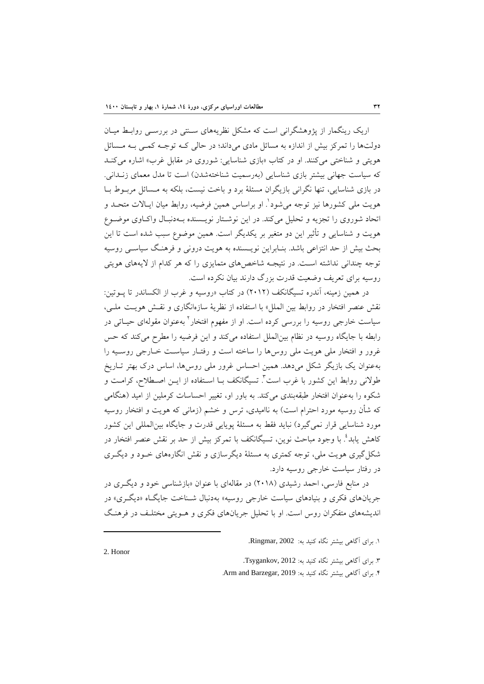اريك رينگمار از پژوهشگراني است كه مشكل نظريههاي سـنتي در بررسـي روابـط ميـان دولتها را تمركز بيش از اندازه به مسائل مادي ميداند؛ در حالي كـه توجـه كمـي بـه مـسائل هويتي و شناختي ميكنند. او در كتاب «بازي شناسايي: شوروي در مقابل غرب» اشاره ميكنـد كه سياست جهاني بيشتر بازي شناسايي (بهرسميت شناختهشدن) است تا مدل معماي زنـداني. در بازي شناسايي، تنها نگراني بازيگران مسئلة برد و باخت نيست، بلكه به مـسائل مربـوط بـا هويت ملي كشورها نيز توجه مي شود'. او براساس همين فرضيه، روابط ميان ايـالات متحـد و اتحاد شوروي را تجزيه و تحليل ميكند. در اين نوشـتار نويـسنده بـهدنبـال واكـاوي موضـوع هويت و شناسايي و تأثير اين دو متغير بر يكديگر است. همين موضوع سبب شده است تا اين بحث بيش از حد انتزاعي باشد. بنـابراين نويـسنده به هويت دروني و فرهنـگ سياسـي روسيه توجه چنداني نداشته اسـت. در نتيجـه شاخصهاي متمايزي را كه هر كدام از لايههاي هويتي روسيه براي تعريف وضعيت قدرت بزرگ دارند بيان نكرده است.

در همين زمينه، آندره تسيگانكف (2012) در كتاب «روسيه و غرب از الكساندر تا پـوتين: نقش عنصر افتخار در روابط بين الملل» با استفاده از نظرية سازهانگاري و نقـش هويـت ملـي، سياست خارجي روسيه را بررسي كرده است. او از مفهوم افتخار<sup>؟</sup> بهعنوان مقولهاي حيــاتي در رابطه با جايگاه روسيه در نظام بين|لملل استفاده ميكند و اين فرضيه را مطرح ميكند كه حس غرور و افتخار ملي هويت ملي روسها را ساخته است و رفتـار سياسـت خـارجي روسـيه را بهعنوان يك بازيگر شكل ميدهد. همين احساس غرور ملي روسها، اساس درك بهتر تـاريخ طولانی روابط این کشور با غرب است<sup>۳</sup>. تسیگانکف بـا اسـتفاده از ایــن اصــطلاح، کرامـت و شكوه را بهعنوان افتخار طبقهبندي ميكند. به باور او، تغيير احساسات كرملين از اميد (هنگامي كه شأن روسيه مورد احترام است) به نااميدي، ترس و خشم (زماني كه هويت و افتخار روسيه مورد شناسايي قرار نميگيرد) نبايد فقط به مسئلة پويايي قدرت و جايگاه بينالمللي اين كشور كاهش يابد<sup>؛</sup> با وجود مباحث نوين، تسيگانكف با تمركز بيش از حد بر نقش عنصر افتخار در شكلگيري هويت ملي، توجه كمتري به مسئلة ديگرسازي و نقش انگارههاي خـود و ديگـري در رفتار سياست خارجي روسيه دارد.

در منابع فارسي، احمد رشيدي (2018) در مقالهاي با عنوان «بازشناسي خود و ديگـري در جريانهاي فكري و بنيادهاي سياست خارجي روسيه» بهدنبال شـناخت جايگـاه «ديگـري» در انديشههاي متفكران روس است. او با تحليل جريانهاي فكري و هـويتي مختلـف در فرهنـگ

.4 براي آگاهي بيشتر نگاه كنيد به: 2019 ,Barzegar and Arm.

<sup>.</sup>1 براي آگاهي بيشتر نگاه كنيد به: 2002 ,Ringmar.

<sup>.</sup>3 براي آگاهي بيشتر نگاه كنيد به: 2012 ,Tsygankov.

<sup>2.</sup> Honor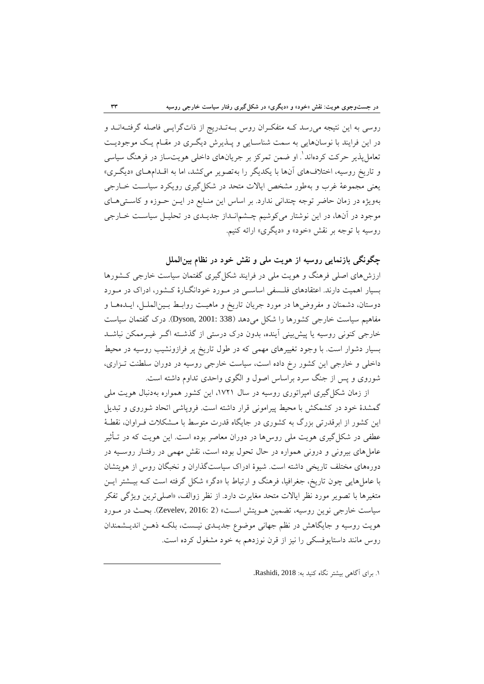روسي به اين نتيجه ميرسد كـه متفكـران روس بـهتـدريج از ذاتگرايـي فاصله گرفتـهانـد و در اين فرايند با نوسانهايي به سمت شناسـايي و پـذيرش ديگـري در مقـام يـك موجوديـت تعامل پذير حركت كردهاند'. او ضمن تمركز بر جريانهاي داخلي هويتساز در فرهنگ سياسي و تاريخ روسيه، اختلافهاي آنها با يكديگر را بهتصوير ميكشد، اما به اقـدامهـاي «ديگـري» يعني مجموعة غرب و بهطور مشخص ايالات متحد در شكلگيري رويكرد سياسـت خـارجي بهويژه در زمان حاضر توجه چنداني ندارد. بر اساس اين منـابع در ايـن حـوزه و كاسـتيهـاي موجود در آنها، در اين نوشتار ميكوشيم چـشمانـداز جديـدي در تحليـل سياسـت خـارجي روسيه با توجه بر نقش «خود» و «ديگري» ارائه كنيم.

**چگونگي بازنمايي روسيه از هويت ملي و نقش خود در نظام بينالملل** 

ارزشهاي اصلي فرهنگ و هويت ملي در فرايند شكلگيري گفتمان سياست خارجي كـشورها بسيار اهميت دارند. اعتقادهاي فلـسفي اساسـي در مـورد خودانگـارة كـشور، ادراك در مـورد دوستان، دشمنان و مفروضها در مورد جريان تاريخ و ماهيـت روابـط بـينالملـل، ايـدههـا و مفاهيم سياست خارجي كشورها را شكل مي دهد (338 :Dyson, 2001). درك گفتمان سياست خارجي كنوني روسيه يا پيشبيني آينده، بدون درك درستي از گذشـته اگـر غيـرممكن نباشـد بسيار دشوار است. با وجود تغييرهاي مهمي كه در طول تاريخ پر فرازونشيب روسيه در محيط داخلي و خارجي اين كشور رخ داده است، سياست خارجي روسيه در دوران سلطنت تـزاري، شوروي و پس از جنگ سرد براساس اصول و الگوي واحدي تداوم داشته است.

از زمان شكل گيري امپراتوري روسيه در سال ١٧٢١، اين كشور همواره بهدنبال هويت ملي گمشدة خود در كشمكش با محيط پيراموني قرار داشته است. فروپاشي اتحاد شوروي و تبديل اين كشور از ابرقدرتي بزرگ به كشوري در جايگاه قدرت متوسط با مـشكلات فـراوان، نقطـة عطفي در شكل گيري هويت ملي روسها در دوران معاصر بوده است. اين هويت كه در تـأثير عاملهاي بيروني و دروني همواره در حال تحول بوده است، نقش مهمي در رفتـار روسـيه در دورههاي مختلف تاريخي داشته است. شيوة ادراك سياستگذاران و نخبگان روس از هويتشان با عاملهايي چون تاريخ، جغرافيا، فرهنگ و ارتباط با «دگر» شكل گرفته است كـه بيـشتر ايـن متغيرها با تصوير مورد نظر ايالات متحد مغايرت دارد. از نظر زوالف، «اصليترين ويژگي تفكر سياست خارجي نوين روسيه، تضمين هـويتش اسـت» (2 2016: ,Zevelev(. بحـث در مـورد هويت روسيه و جايگاهش در نظم جهاني موضوع جديـدي نيـست، بلكـه ذهـن انديـشمندان روس مانند داستايوفسكي را نيز از قرن نوزدهم به خود مشغول كرده است.

.1 براي آگاهي بيشتر نگاه كنيد به: 2018 ,Rashidi.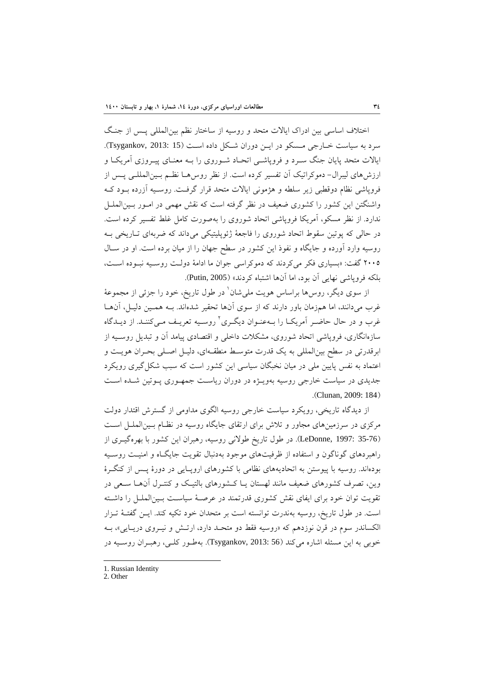اختلاف اساسي بين ادراك ايالات متحد و روسيه از ساختار نظم بينالمللي پـس از جنـگ سرد به سياست خـارجي مـسكو در ايـن دوران شـكل داده اسـت (15 2013: ,Tsygankov(. ايالات متحد پايان جنگ سـرد و فروپاشـي اتحـاد شـوروي را بـه معنـاي پيـروزي آمريكـا و ارزشهاي ليبرال- دموكراتيك آن تفسير كرده است. از نظر روسهـا نظـم بـينالمللـي پـس از فروپاشي نظام دوقطبي زير سلطه و هژموني ايالات متحد قرار گرفـت. روسـيه آزرده بـود كـه واشنگتن اين كشور را كشوري ضعيف در نظر گرفته است كه نقش مهمي در امـور بـينالملـل ندارد. از نظر مسكو، آمريكا فروپاشي اتحاد شوروي را بهصورت كامل غلط تفسير كرده است. در حالي كه پوتين سقوط اتحاد شوروي را فاجعة ژئوپليتيكي ميداند كه ضربهاي تـاريخي بـه روسيه وارد آورده و جايگاه و نفوذ اين كشور در سطح جهان را از ميان برده است. او در سـال 2005 گفت: «بسياري فكر ميكردند كه دموكراسي جوان ما ادامة دولـت روسـيه نبـوده اسـت، بلكه فروپاشي نهايي آن بود، اما آنها اشتباه كردند» (2005 ,Putin(.

از سوی ديگر، روس۵ براساس هويت ملي شان<sup>\</sup> در طول تاريخ، خود را جزئي از مجموعهٔ غرب ميدانند، اما همزمان باور دارند كه از سوي آنها تحقير شدهاند. بـه همـين دليـل، آنهـا غرب و در حال حاضـر آمريكــا را بــهعنــوان ديگــري آ روسـيه تعريــف مــيكننــد. از ديــدگاه سازهانگاري، فروپاشي اتحاد شوروي، مشكلات داخلي و اقتصادي پيامد آن و تبديل روسـيه از ابرقدرتي در سطح بينالمللي به يك قدرت متوسـط منطقـهاي، دليـل اصـلي بحـران هويـت و اعتماد به نفس پايين ملي در ميان نخبگان سياسي اين كشور است كه سبب شكل گيري رويكرد جديدي در سياست خارجي روسيه بهويـژه در دوران رياسـت جمهـوري پـوتين شـده اسـت .(Clunan, 2009: 184)

از ديدگاه تاريخي، رويكرد سياست خارجي روسيه الگوي مداومي از گسترش اقتدار دولت مركزي در سرزمينهاي مجاور و تلاش براي ارتقاي جايگاه روسيه در نظـام بـينالملـل اسـت (35-76 1997: ,LeDonne(. در طول تاريخ طولاني روسيه، رهبران اين كشور با بهرهگيـري از راهبردهاي گوناگون و استفاده از ظرفيتهاي موجود بهدنبال تقويت جايگـاه و امنيـت روسـيه بودهاند. روسيه با پيوستن به اتحاديههاي نظامي با كشورهاي اروپـايي در دورة پـس از كنگـرة وين، تصرف كشورهاي ضعيف مانند لهستان يـا كـشورهاي بالتيـك و كنتـرل آنهـا سـعي در تقويت توان خود براي ايفاي نقش كشوري قدرتمند در عرصـة سياسـت بـينالملـل را داشـته است. در طول تاريخ، روسيه بهندرت توانسته است بر متحدان خود تكيه كند. ايـن گفتـة تـزار الكساندر سوم در قرن نوزدهم كه «روسيه فقط دو متحـد دارد، ارتـش و نيـروي دريـايي»، بـه خوبي به اين مسئله اشاره ميكند (56 2013: ,Tsygankov(. بهطـور كلـي، رهبـران روسـيه در

<sup>1.</sup> Russian Identity

<sup>2.</sup> Other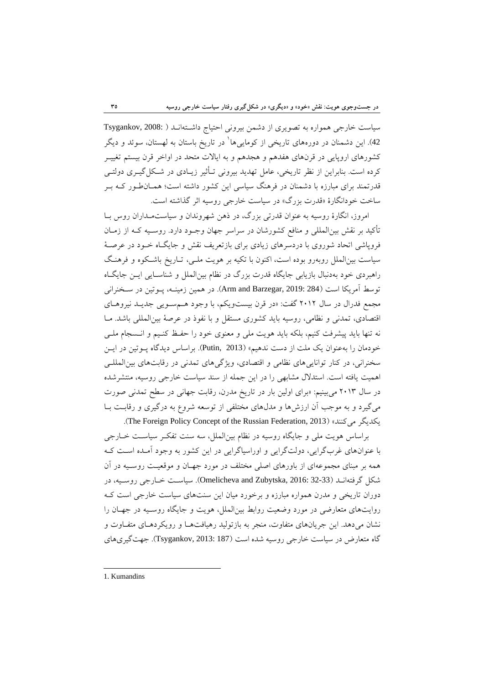سياست خارجي همواره به تصويري از دشمن بيروني احتياج داشـتهانـد ( 2008: ,Tsygankov 42). اين دشمنان در دورههاي تاريخي از كومايي ها ٰ در تاريخ باستان به لهستان، سوئد و ديگر كشورهاي اروپايي در قرنهاي هفدهم و هجدهم و به ايالات متحد در اواخر قرن بيستم تغييـر كرده است. بنابراين از نظر تاريخي، عامل تهديد بيروني تـأثير زيـادي در شـكلگيـري دولتـي قدرتمند براي مبارزه با دشمنان در فرهنگ سياسي اين كشور داشته است؛ همـانطـور كـه بـر ساخت خودانگارة «قدرت بزرگ» در سياست خارجي روسيه اثر گذاشته است.

امروز، انگارة روسيه به عنوان قدرتي بزرگ، در ذهن شهروندان و سياستمـداران روس بـا تأكيد بر نقش بينالمللي و منافع كشورشان در سراسر جهان وجـود دارد. روسـيه كـه از زمـان فروپاشي اتحاد شوروي با دردسرهاي زيادي براي بازتعريف نقش و جايگـاه خـود در عرصـة سياست بينالملل روبهرو بوده است، اكنون با تكيه بر هويت ملـي، تـاريخ باشـكوه و فرهنـگ راهبردي خود بهدنبال بازيابي جايگاه قدرت بزرگ در نظام بينالملل و شناسـايي ايـن جايگـاه توسط آمريكا است (284 :Arm and Barzegar, 2019). در همين زمينــه، پـوتين در سـخنراني مجمع فدرال در سال 2012 گفت: «در قرن بيستويكم، با وجود هـمسـويي جديـد نيروهـاي اقتصادي، تمدني و نظامي، روسيه بايد كشوري مستقل و با نفوذ در عرصة بينالمللي باشد. مـا نه تنها بايد پيشرفت كنيم، بلكه بايد هويت ملي و معنوي خود را حفـظ كنـيم و انـسجام ملـي خودمان را بهعنوان يك ملت از دست ندهيم» (2013 ,Putin(. براساس ديدگاه پـوتين در ايـن سخنراني، در كنار تواناييهاي نظامي و اقتصادي، ويژگيهاي تمدني در رقابتهاي بينالمللـي اهميت يافته است. استدلال مشابهي را در اين جمله از سند سياست خارجي روسيه، منتشرشده در سال 2013 ميبينيم: «براي اولين بار در تاريخ مدرن، رقابت جهاني در سطح تمدني صورت ميگيرد و به موجب آن ارزشها و مدلهاي مختلفي از توسعه شروع به درگيري و رقابـت بـا .(The Foreign Policy Concept of the Russian Federation, 2013) «ميكنند يكديگر

براساس هويت ملي و جايگاه روسيه در نظام بينالملل، سه سنت تفكـر سياسـت خـارجي با عنوانهاي غربگرايي، دولتگرايي و اوراسياگرايي در اين كشور به وجود آمـده اسـت كـه همه بر مبناي مجموعهاي از باورهاي اصلي مختلف در مورد جهـان و موقعيـت روسـيه در آن شكل گرفتهانـد (32-33 2016: ,Zubytska and Omelicheva(. سياسـت خـارجي روسـيه، در دوران تاريخي و مدرن همواره مبارزه و برخورد ميان اين سنتهاي سياست خارجي است كـه روايتهاي متعارضي در مورد وضعيت روابط بينالملل، هويت و جايگاه روسـيه در جهـان را نشان ميدهد. اين جريانهاي متفاوت، منجر به بازتوليد رهيافتهـا و رويكردهـاي متفـاوت و گاه متعارض در سياست خارجي روسيه شده است (187 2013: ,Tsygankov(. جهتگيريهاي

 1. Kumandins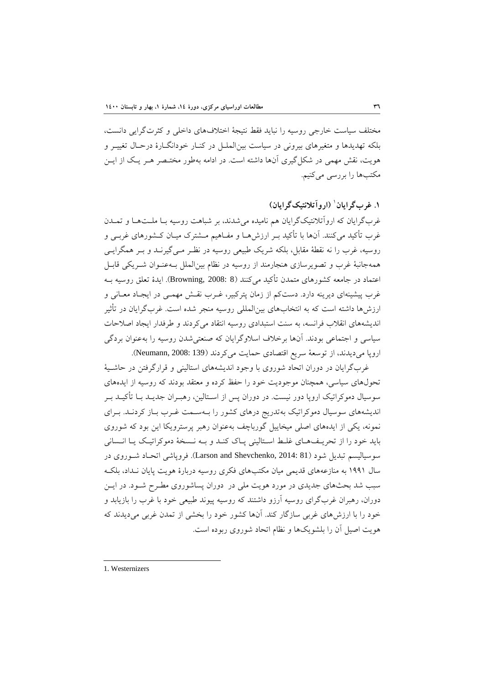مختلف سياست خارجي روسيه را نبايد فقط نتيجة اختلافهاي داخلي و كثرتگرايي دانست، بلكه تهديدها و متغيرهاي بيروني در سياست بينالملـل در كنـار خودانگـارة درحـال تغييـر و هويت، نقش مهمي در شكلگيري آنها داشته است. در ادامه بهطور مختـصر هـر يـك از ايـن مكتبها را بررسي ميكنيم.

**(اروآتلانتيكگرايان)** <sup>1</sup> **.1 غربگرايان**

غربگرايان كه اروآتلانتيكگرايان هم ناميده ميشدند، بر شباهت روسيه بـا ملـتهـا و تمـدن غرب تأكيد ميكنند. آنها با تأكيد بـر ارزشهـا و مفـاهيم مـشترك ميـان كـشورهاي غربـي و روسيه، غرب را نه نقطة مقابل، بلكه شريك طبيعي روسيه در نظـر مـيگيرنـد و بـر همگرايـي همهجانبة غرب و تصويرسازي هنجارمند از روسيه در نظام بينالملل بـهعنـوان شـريكي قابـل اعتماد در جامعه كشورهاي متمدن تأكيد مي كنند (8 :Browning, 2008). ايدهٔ تعلق روسيه بـه غرب پيشينهاي ديرينه دارد. دستكم از زمان پتركبير، غـرب نقـش مهمـي در ايجـاد معـاني و ارزشها داشته است كه به انتخابهاي بينالمللي روسيه منجر شده است. غربگرايان در تأثير انديشههاي انقلاب فرانسه، به سنت استبدادي روسيه انتقاد ميكردند و طرفدار ايجاد اصلاحات سياسي و اجتماعي بودند. آنها برخلاف اسلاوگرايان كه صنعتيشدن روسيه را بهعنوان بردگي اروپا مي ديدند، از توسعهٔ سريع اقتصادي حمايت مي كردند (139 :008 .Neumann, 2008).

غربگرايان در دوران اتحاد شوروي با وجود انديشههاي استاليني و قرارگرفتن در حاشـية تحولهاي سياسي، همچنان موجوديت خود را حفظ كرده و معتقد بودند كه روسيه از ايدههاي سوسيال دموكراتيك اروپا دور نيست. در دوران پس از اسـتالين، رهبـران جديـد بـا تأكيـد بـر انديشههاي سوسيال دموكراتيك بهتدريج درهاي كشور را بـهسـمت غـرب بـاز كردنـد. بـراي نمونه، يكي از ايدههاي اصلي ميخاييل گورباچف بهعنوان رهبر پرسترويكا اين بود كه شوروي بايد خود را از تحريـفهـاي غلـط اسـتاليني پـاك كنـد و بـه نـسخة دموكراتيـك يـا انـساني سوسياليسم تبديل شود (81 :Barson and Shevchenko, 2014). فروپاشي اتحـاد شـوروي در سال 1991 به منازعههاي قديمي ميان مكتبهاي فكري روسيه دربارة هويت پايان نـداد، بلكـه سبب شد بحثهاي جديدي در مورد هويت ملي در دوران پساشوروي مطـرح شـود. در ايـن دوران، رهبران غربگراي روسيه آرزو داشتند كه روسيه پيوند طبيعي خود با غرب را بازيابد و خود را با ارزشهاي غربي سازگار كند. آنها كشور خود را بخشي از تمدن غربي ميديدند كه هويت اصيل آن را بلشويكها و نظام اتحاد شوروي ربوده است.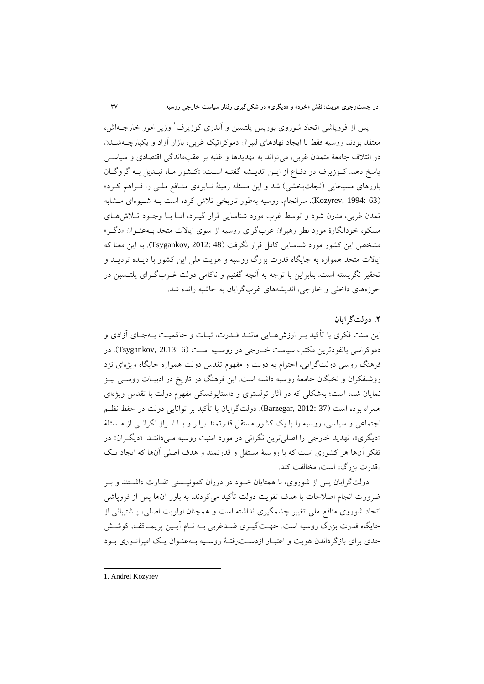يس از فروياشي اتحاد شوروي بوريس يلتسين و آندري كوزيرف وزير امور خارجــهاش، معتقد بودند روسيه فقط با ايجاد نهادهاي ليبرال دموكراتيك غربي، بازار آزاد و يكپارچـهشـدن در ائتلاف جامعة متمدن غربي، ميتواند به تهديدها و غلبه بر عقبماندگي اقتصادي و سياسـي پاسخ دهد. كـوزيرف در دفـاع از ايـن انديـشه گفتـه اسـت: «كـشور مـا، تبـديل بـه گروگـان باورهاي مسيحايي (نجاتبخشي) شد و اين مسئله زمينة نـابودي منـافع ملـي را فـراهم كـرد» (63 1994: ,Kozyrev(. سرانجام، روسيه بهطور تاريخي تلاش كرده است بـه شـيوهاي مـشابه تمدن غربي، مدرن شود و توسط غرب مورد شناسايي قرار گيـرد، امـا بـا وجـود تـلاشهـاي مسكو، خودانگارة مورد نظر رهبران غربگراي روسيه از سوي ايالات متحد بـهعنـوان «دگـر» مشخص اين كشور مورد شناسايي كامل قرار نگرفت (48 2012: ,Tsygankov(. به اين معنا كه ايالات متحد همواره به جايگاه قدرت بزرگ روسيه و هويت ملي اين كشور با ديـده ترديـد و تحقير نگريسته است. بنابراين با توجه به آنچه گفتيم و ناكامي دولت غـربگـراي يلتـسين در حوزههاي داخلي و خارجي، انديشههاي غربگرايان به حاشيه رانده شد.

### **.2 دولتگرايان**

اين سنت فكري با تأكيد بـر ارزشهـايي ماننـد قـدرت، ثبـات و حاكميـت بـهجـاي آزادي و دموكراسي بانفوذترين مكتب سياست خـارجي در روسـيه اسـت (Tsygankov, 2013: 6). در فرهنگ روسي دولتگرايي، احترام به دولت و مفهوم تقدس دولت همواره جايگاه ويژهاي نزد روشنفكران و نخبگان جامعة روسيه داشته است. اين فرهنگ در تاريخ در ادبيـات روسـي نيـز نمايان شده است؛ بهشكلي كه در آثار تولستوي و داستايوفسكي مفهوم دولت با تقدس ويژهاي همراه بوده است (37 2012: ,Barzegar(. دولتگرايان با تأكيد بر توانايي دولت در حفظ نظـم اجتماعي و سياسي، روسيه را با يك كشور مستقل قدرتمند برابر و بـا ابـراز نگرانـي از مـسئلة «ديگري»، تهديد خارجي را اصليترين نگراني در مورد امنيت روسيه مـيداننـد. «ديگـران» در تفكر آنها هر كشوري است كه با روسية مستقل و قدرتمند و هدف اصلي آنها كه ايجاد يـك «قدرت بزرگ» است، مخالفت كند.

دولتگرايان پس از شوروي، با همتايان خـود در دوران كمونيـستي تفـاوت داشـتند و بـر ضرورت انجام اصلاحات با هدف تقويت دولت تأكيد ميكردند. به باور آنها پس از فروپاشي اتحاد شوروي منافع ملي تغيير چشمگيري نداشته است و همچنان اولويت اصلي، پـشتيباني از جايگاه قدرت بزرگ روسيه است. جهـتگيـري ضـدغربي بـه نـام آيـين پريمـاكف، كوشـش جدي براي بازگرداندن هويت و اعتبـار ازدسـترفتـة روسـيه بـهعنـوان يـك امپراتـوري بـود

 1. Andrei Kozyrev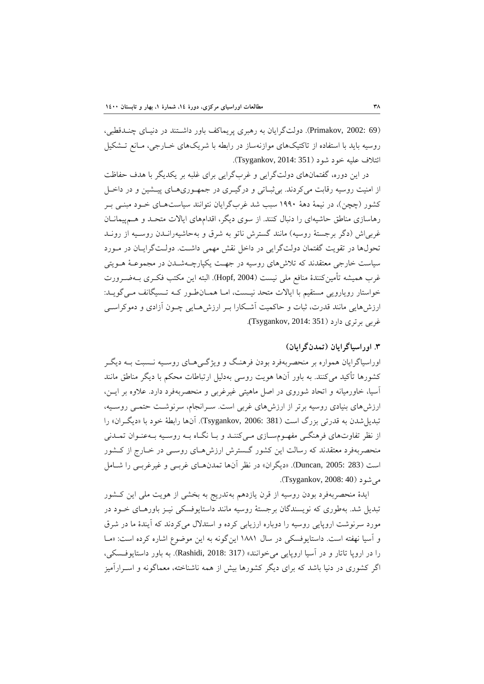(69 2002: ,Primakov(. دولتگرايان به رهبري پريماكف باور داشـتند در دنيـاي چنـدقطبي، روسيه بايد با استفاده از تاكتيكهاي موازنهساز در رابطه با شريكهاي خـارجي، مـانع تـشكيل ائتلاف عليه خود شود (351 2014: ,Tsygankov(.

در اين دوره، گفتمانهاي دولتگرايي و غربگرايي براي غلبه بر يكديگر با هدف حفاظت از امنيت روسيه رقابت ميكردند. بيثبـاتي و درگيـري در جمهـوريهـاي پيـشين و در داخـل كشور (چچن)، در نيمة دهة 1990 سبب شد غربگرايان نتوانند سياستهـاي خـود مبنـي بـر رهاسازي مناطق حاشيهاي را دنبال كنند. از سوي ديگر، اقدامهاي ايالات متحـد و هـمپيمانـان غربياش (دگر برجستة روسيه) مانند گسترش ناتو به شرق و بهحاشيهرانـدن روسـيه از رونـد تحولها در تقويت گفتمان دولتگرايي در داخل نقش مهمي داشـت. دولـتگرايـان در مـورد سياست خارجي معتقدند كه تلاشهاي روسيه در جهـت يكپارچـهشـدن در مجموعـة هـويتي غرب هميشه تأمينكنندة منافع ملي نيست (2004 ,Hopf(. البته اين مكتب فكـري بـهضـرورت خواستار رويارويي مستقيم با ايالات متحد نيـست، امـا همـانطـور كـه تـسيگانف مـيگويـد: ارزشهايي مانند قدرت، ثبات و حاكميت آشـكارا بـر ارزشهـايي چـون آزادي و دموكراسـي غربي برتري دارد (Tsygankov, 2014: 351).

## **.3 اوراسياگرايان (تمدنگرايان)**

اوراسياگرايان همواره بر منحصربهفرد بودن فرهنـگ و ويژگـيهـاي روسـيه نـسبت بـه ديگـر كشورها تأكيد ميكنند. به باور آنها هويت روسي بهدليل ارتباطات محكم با ديگر مناطق مانند آسيا، خاورميانه و اتحاد شوروي در اصل ماهيتي غيرغربي و منحصربهفرد دارد. علاوه بر ايـن، ارزشهاي بنيادي روسيه برتر از ارزشهاي غربي است. سـرانجام، سرنوشـت حتمـي روسـيه، تبديلشدن به قدرتي بزرگ است (381 2006: ,Tsygankov(. آنها رابطة خود با «ديگـران» را از نظر تفاوتهاي فرهنگـي مفهـومسـازي مـيكننـد و بـا نگـاه بـه روسـيه بـهعنـوان تمـدني منحصربهفرد معتقدند كه رسالت اين كشور گـسترش ارزشهـاي روسـي در خـارج از كـشور است (283 2005: ,Duncan(.» ديگران» در نظر آنها تمدنهـاي غربـي و غيرغربـي را شـامل مي شو د (Tsygankov, 2008: 40).

ايدة منحصربهفرد بودن روسيه از قرن يازدهم بهتدريج به بخشي از هويت ملي اين كـشور تبديل شد. بهطوري كه نويسندگان برجستة روسيه مانند داستايوفسكي نيـز باورهـاي خـود در مورد سرنوشت اروپايي روسيه را دوباره ارزيابي كرده و استدلال ميكردند كه آيندة ما در شرق و آسيا نهفته است. داستايوفسكي در سال 1881 اينگونه به اين موضوع اشاره كرده است: «مـا را در اروپا تاتار و در آسيا اروپايي ميخوانند» (317 2018: ,Rashidi(. به باور داستايوفـسكي، اگر كشوري در دنيا باشد كه براي ديگر كشورها بيش از همه ناشناخته، معماگونه و اسـرارآميز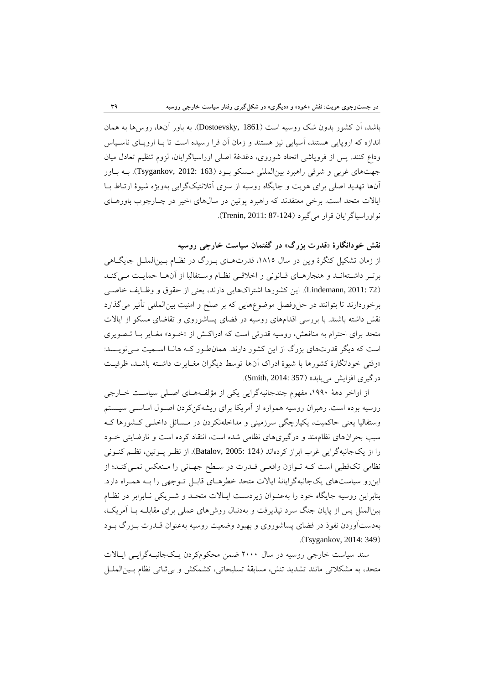باشد، آن كشور بدون شك روسيه است (1861 ,Dostoevsky(. به باور آنها، روسها به همان اندازه كه اروپايي هستند، آسيايي نيز هستند و زمان آن فرا رسيده است تا بـا اروپـاي ناسـپاس وداع كنند. پس از فروپاشي اتحاد شوروي، دغدغة اصلي اوراسياگرايان، لزوم تنظيم تعادل ميان جهتهاي غربي و شرقي راهبرد بينالمللي مـسكو بـود (163 2012: ,Tsygankov(. بـه بـاور آنها تهديد اصلي براي هويت و جايگاه روسيه از سوي آتلانتيكگرايي بهويژه شيوة ارتباط بـا ايالات متحد است. برخي معتقدند كه راهبرد پوتين در سالهاي اخير در چـارچوب باورهـاي نواوراسياگرايان قرار مي گيرد (124-87 Trenin, 2011: 87).

**نقش خودانگارة «قدرت بزرگ» در گفتمان سياست خارجي روسيه** 

از زمان تشكيل كنگرهٔ وين در سال ١٨١٥، قدرتهـاي بـزرگ در نظـام بـينالملـل جايگـاهي برتـر داشـتهانـد و هنجارهـاي قـانوني و اخلاقـي نظـام وسـتفاليا از آنهـا حمايـت مـيكنـد (72 2011: ,Lindemann(. اين كشورها اشتراكهايي دارند، يعني از حقوق و وظـايف خاصـي برخوردارند تا بتوانند در حلوفصل موضوعهايي كه بر صلح و امنيت بينالمللي تأثير ميگذارد نقش داشته باشند. با بررسي اقدامهاي روسيه در فضاي پساشوروي و تقاضاي مسكو از ايالات متحد براي احترام به منافعش، روسيه قدرتي است كه ادراكـش از «خـود» مغـاير بـا تـصويري است كه ديگر قدرتهاي بزرگ از اين كشور دارند. همانطـور كـه هانـا اسـميت مـينويـسد: «وقتي خودانگارة كشورها با شيوة ادراك آنها توسط ديگران مغـايرت داشـته باشـد، ظرفيـت درگيري افزايش مييابد» (357 :Smith, 2014).

از اواخر دهة ،1990 مفهوم چندجانبهگرايي يكي از مؤلفـههـاي اصـلي سياسـت خـارجي روسيه بوده است. رهبران روسيه همواره از آمريكا براي ريشهكنكردن اصـول اساسـي سيـستم وستفاليا يعني حاكميت، يكپارچگي سرزميني و مداخلهنكردن در مـسائل داخلـي كـشورها كـه سبب بحرانهاي نظاممند و درگيريهاي نظامي شده است، انتقاد كرده است و نارضايتي خـود را از يكجانبهگرايي غرب ابراز كردهاند (124 2005: ,Batalov(. از نظـر پـوتين، نظـم كنـوني نظامي تكقطبي است كـه تـوازن واقعـي قـدرت در سـطح جهـاني را مـنعكس نمـيكنـد؛ از اينرو سياستهاي يكجانبهگرايانة ايالات متحد خطرهـاي قابـل تـوجهي را بـه همـراه دارد. بنابراين روسيه جايگاه خود را بهعنـوان زيردسـت ايـالات متحـد و شـريكي نـابرابر در نظـام بينالملل پس از پايان جنگ سرد نپذيرفت و بهدنبال روشهاي عملي براي مقابلـه بـا آمريكـا، بهدستآوردن نفوذ در فضاي پساشوروي و بهبود وضعيت روسيه بهعنوان قـدرت بـزرگ بـود .(Tsygankov, 2014: 349)

سند سياست خارجي روسيه در سال 2000 ضمن محكومكردن يـكجانبـهگرايـي ايـالات متحد، به مشكلاتي مانند تشديد تنش، مسابقة تسليحاتي، كشمكش و بيثباتي نظام بـينالملـل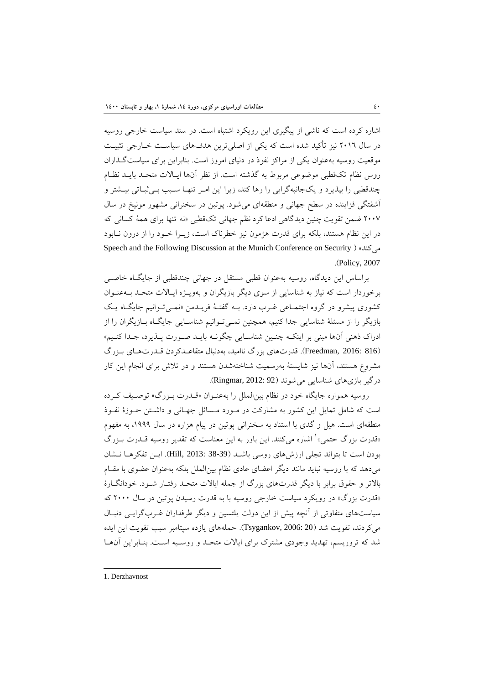اشاره كرده است كه ناشي از پيگيري اين رويكرد اشتباه است. در سند سياست خارجي روسيه در سال 2016 نيز تأكيد شده است كه يكي از اصليترين هدفهاي سياسـت خـارجي تثبيـت موقعيت روسيه بهعنوان يكي از مراكز نفوذ در دنياي امروز است. بنابراين براي سياستگـذاران روس نظام تكقطبي موضوعي مربوط به گذشته است. از نظر آنها ايـالات متحـد بايـد نظـام چندقطبي را بپذيرد و يكجانبهگرايي را رها كند، زيرا اين امـر تنهـا سـبب بـيثبـاتي بيـشتر و آشفتگي فزاينده در سطح جهاني و منطقهاي ميشود. پوتين در سخنراني مشهور مونيخ در سال 2007 ضمن تقويت چنين ديدگاهي ادعا كرد نظم جهاني تكقطبي «نه تنها براي همة كساني كه در اين نظام هستند، بلكه براي قدرت هژمون نيز خطرناك است، زيـرا خـود را از درون نـابود Speech and the Following Discussion at the Munich Conference on Security ) «ميكند .(Policy, 2007

براساس اين ديدگاه، روسيه بهعنوان قطبي مستقل در جهاني چندقطبي از جايگـاه خاصـي برخوردار است كه نياز به شناسايي از سوي ديگر بازيگران و بهويـژه ايـالات متحـد بـهعنـوان كشوري پيشرو در گروه اجتمـاعي غـرب دارد. بـه گفتـة فريـدمن «نمـيتـوانيم جايگـاه يـك بازيگر را از مسئلة شناسايي جدا كنيم، همچنين نمـيتـوانيم شناسـايي جايگـاه بـازيگران را از ادراك ذهني آنها مبني بر اينكـه چنـين شناسـايي چگونـه بايـد صـورت پـذيرد، جـدا كنـيم» (816 2016: ,Freedman(. قدرتهاي بزرگ نااميد، بهدنبال متقاعـدكردن قـدرتهـاي بـزرگ مشروع هستند، آنها نيز شايستة بهرسميت شناختهشدن هستند و در تلاش براي انجام اين كار درگير بازي هاي شناسايي مي شوند (Ringmar, 2012: 92).

روسيه همواره جايگاه خود در نظام بينالملل را بهعنـوان «قـدرت بـزرگ» توصـيف كـرده است كه شامل تمايل اين كشور به مشاركت در مـورد مـسائل جهـاني و داشـتن حـوزة نفـوذ منطقهاي است. هيل و گدي با استناد به سخنراني پوتين در پيام هزاره در سال ،1999 به مفهوم «قدرت بزرگ حتمي» ٰ اشاره ميكنند. اين باور به اين معناست كه تقدير روسيه قــدرت بــزرگ بودن است تا بتواند تجلي ارزشهاي روسي باشـد (38-39 2013: ,Hill(. ايـن تفكرهـا نـشان ميدهد كه با روسيه نبايد مانند ديگر اعضاي عادي نظام بينالملل بلكه بهعنوان عضوي با مقـام بالاتر و حقوق برابر با ديگر قدرتهاي بزرگ از جمله ايالات متحـد رفتـار شـود. خودانگـارة «قدرت بزرگ» در رويكرد سياست خارجي روسيه با به قدرت رسيدن پوتين در سال 2000 كه سياستهاي متفاوتي از آنچه پيش از اين دولت يلتسين و ديگر طرفداران غـربگرايـي دنبـال ميكردند، تقويت شد (20 2006: ,Tsygankov(. حملههاي يازده سپتامبر سبب تقويت اين ايده شد كه تروريسم، تهديد وجودي مشترك براي ايالات متحـد و روسـيه اسـت. بنـابراين آنهـا

 1. Derzhavnost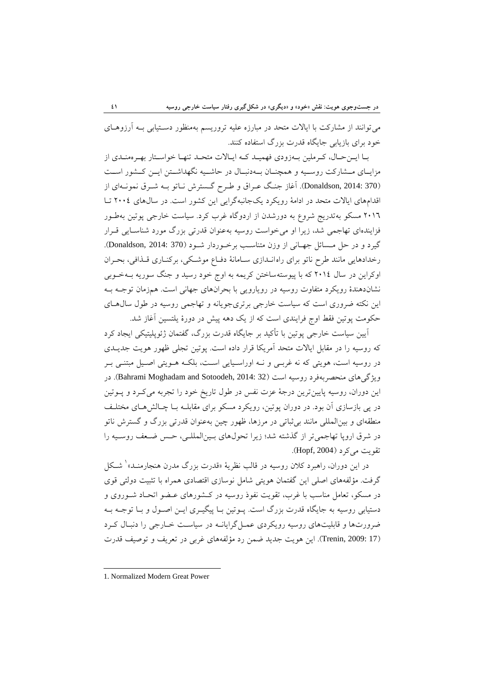ميتوانند از مشاركت با ايالات متحد در مبارزه عليه تروريسم بهمنظور دسـتيابي بـه آرزوهـاي خود براي بازيابي جايگاه قدرت بزرگ استفاده كنند.

بـا ايـنحـال، كـرملين بـهزودي فهميـد كـه ايـالات متحـد تنهـا خواسـتار بهـرهمنـدي از مزايــاي مــشاركت روســيه و همچنــان بــهدنبــال در حاشــيه نگهداشــتن ايــن كــشور اســت (370 2014: ,Donaldson(. آغاز جنـگ عـراق و طـرح گـسترش نـاتو بـه شـرق نمونـهاي از اقدامهاي ايالات متحد در ادامة رويكرد يكجانبهگرايي اين كشور است. در سالهاي 2004 تـا 2016 مسكو بهتدريج شروع به دورشدن از اردوگاه غرب كرد. سياست خارجي پوتين بهطـور فزايندهاي تهاجمي شد، زيرا او ميخواست روسيه بهعنوان قدرتي بزرگ مورد شناسـايي قـرار گيرد و در حل مـسائل جهـاني از وزن متناسـب برخـوردار شـود (370 2014: ,Donaldson(. رخدادهايي مانند طرح ناتو براي راهانـدازي سـامانة دفـاع موشـكي، بركنـاري قـذافي، بحـران اوكراين در سال 2014 كه با پيوستهساختن كريمه به اوج خود رسيد و جنگ سوريه بـهخـوبي نشاندهندة رويكرد متفاوت روسيه در رويارويي با بحرانهاي جهاني است. همزمان توجـه بـه اين نكته ضروري است كه سياست خارجي برتريجويانه و تهاجمي روسيه در طول سالهـاي حكومت پوتين فقط اوج فرايندي است كه از يك دهه پيش در دورة يلتسين آغاز شد.

آيين سياست خارجي پوتين با تأكيد بر جايگاه قدرت بزرگ، گفتمان ژئوپليتيكي ايجاد كرد كه روسيه را در مقابل ايالات متحد آمريكا قرار داده است. پوتين تجلي ظهور هويت جديـدي در روسيه است، هويتي كه نه غربـي و نـه اوراسـيايي اسـت، بلكـه هـويتي اصـيل مبتنـي بـر ويژگي هاي منحصربهفرد روسيه است (32 :Bahrami Moghadam and Sotoodeh, 2014). در اين دوران، روسيه پايينترين درجة عزت نفس در طول تاريخ خود را تجربه ميكـرد و پـوتين در پي بازسازي آن بود. در دوران پوتين، رويكرد مسكو براي مقابلـه بـا چـالشهـاي مختلـف منطقهاي و بينالمللي مانند بيثباتي در مرزها، ظهور چين بهعنوان قدرتي بزرگ و گسترش ناتو در شرق اروپا تهاجميتر از گذشته شد؛ زيرا تحولهاي بـينالمللـي، حـس ضـعف روسـيه را تقويت مي كرد (Hopf, 2004).

در اين دوران، راهبرد كلان روسيه در قالب نظرية «قدرت بزرگ مدرن هنجارمنـد»<sup>\</sup> شـكا<sub>ً</sub> ⁄ گرفت. مؤلفههاي اصلي اين گفتمان هويتي شامل نوسازي اقتصادي همراه با تثبيت دولتي قوي در مسكو، تعامل مناسب با غرب، تقويت نفوذ روسيه در كـشورهاي عـضو اتحـاد شـوروي و دستيابي روسيه به جايگاه قدرت بزرگ است. پـوتين بـا پيگيـري ايـن اصـول و بـا توجـه بـه ضرورتها و قابليتهاي روسيه رويكردي عمـلگرايانـه در سياسـت خـارجي را دنبـال كـرد (17 2009: ,Trenin(. اين هويت جديد ضمن رد مؤلفههاي غربي در تعريف و توصيف قدرت

 1. Normalized Modern Great Power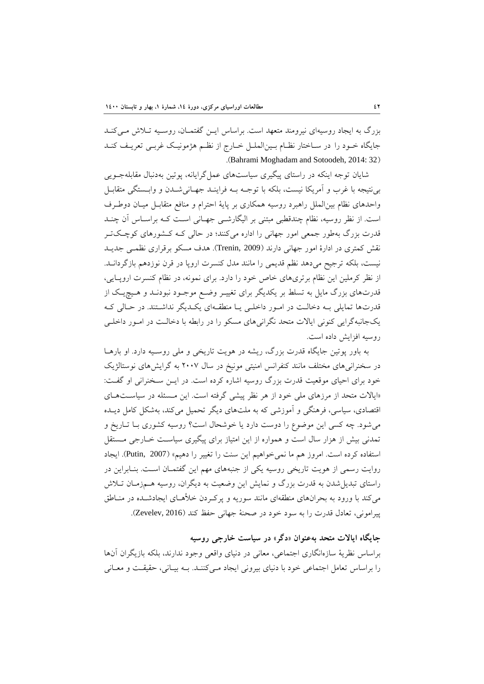بزرگ به ايجاد روسيهاي نيرومند متعهد است. براساس ايـن گفتمـان، روسـيه تـلاش مـيكنـد جايگاه خـود را در سـاختار نظـام بـينالملـل خـارج از نظـم هژمونيـك غربـي تعريـف كنـد .(Bahrami Moghadam and Sotoodeh, 2014: 32)

شايان توجه اينكه در راستاي پيگيري سياستهاي عملگرايانه، پوتين بهدنبال مقابلهجـويي بينتيجه با غرب و آمريكا نيست، بلكه با توجـه بـه فراينـد جهـانيشـدن و وابـستگي متقابـل واحدهاي نظام بينالملل راهبرد روسيه همكاري بر پاية احترام و منافع متقابـل ميـان دوطـرف است. از نظر روسيه، نظام چندقطبي مبتني بر اليگارشـي جهـاني اسـت كـه براسـاس آن چنـد قدرت بزرگ بهطور جمعي امور جهاني را اداره ميكنند؛ در حالي كـه كـشورهاي كوچـكتـر نقش كمتري در ادارة امور جهاني دارند (2009 ,Trenin(. هدف مسكو برقراري نظمـي جديـد نيست، بلكه ترجيح ميدهد نظم قديمي را مانند مدل كنسرت اروپا در قرن نوزدهم بازگردانـد. از نظر كرملين اين نظام برتريهاي خاص خود را دارد. براي نمونه، در نظام كنسرت اروپـايي، قدرتهاي بزرگ مايل به تسلط بر يكديگر براي تغييـر وضـع موجـود نبودنـد و هـيچيـك از قدرتها تمايلي بـه دخالـت در امـور داخلـي يـا منطقـهاي يكـديگر نداشـتند. در حـالي كـه يكجانبهگرايي كنوني ايالات متحد نگرانيهاي مسكو را در رابطه با دخالـت در امـور داخلـي روسيه افزايش داده است.

به باور پوتين جايگاه قدرت بزرگ، ريشه در هويت تاريخي و ملي روسـيه دارد. او بارهـا در سخنرانيهاي مختلف مانند كنفرانس امنيتي مونيخ در سال 2007 به گرايشهاي نوستالژيك خود براي احياي موقعيت قدرت بزرگ روسيه اشاره كرده است. در ايـن سـخنراني او گفـت: «ايالات متحد از مرزهاي ملي خود از هر نظر پيشي گرفته است. اين مـسئله در سياسـتهـاي اقتصادي، سياسي، فرهنگي و آموزشي كه به ملتهاي ديگر تحميل ميكند، بهشكل كامل ديـده ميشود. چه كسي اين موضوع را دوست دارد يا خوشحال است؟ روسيه كشوري بـا تـاريخ و تمدني بيش از هزار سال است و همواره از اين امتياز براي پيگيري سياسـت خـارجي مـستقل استفاده كرده است. امروز هم ما نميخواهيم اين سنت را تغيير را دهيم» (2007 ,Putin(. ايجاد روايت رسمي از هويت تاريخي روسيه يكي از جنبههاي مهم اين گفتمـان اسـت. بنـابراين در راستاي تبديلشدن به قدرت بزرگ و نمايش اين وضعيت به ديگران، روسيه هـمزمـان تـلاش ميكند با ورود به بحرانهاي منطقهاي مانند سوريه و پركـردن خلأهـاي ايجادشـده در منـاطق پيراموني، تعادل قدرت را به سود خود در صحنة جهاني حفظ كند (2016 ,Zevelev(.

**جايگاه ايالات متحد بهعنوان «دگر» در سياست خارجي روسيه**

براساس نظرية سازهانگاري اجتماعي، معاني در دنياي واقعي وجود ندارند، بلكه بازيگران آنها را براساس تعامل اجتماعي خود با دنياي بيروني ايجاد مـيكننـد. بـه بيـاني، حقيقـت و معـاني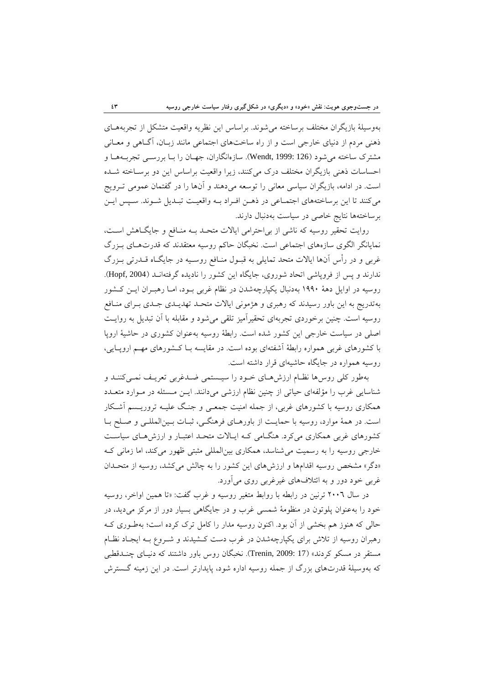بهوسيلة بازيگران مختلف برساخته ميشوند. براساس اين نظريه واقعيت متشكل از تجربههـاي ذهني مردم از دنياي خارجي است و از راه ساختهاي اجتماعي مانند زبـان، آگـاهي و معـاني مشترك ساخته ميشود (126 1999: ,Wendt(. سازهانگاران، جهـان را بـا بررسـي تجربـههـا و احساسات ذهني بازيگران مختلف درك ميكنند، زيرا واقعيت براساس اين دو برسـاخته شـده است. در ادامه، بازيگران سياسي معاني را توسعه ميدهند و آنها را در گفتمان عمومي تـرويج ميكنند تا اين برساختههاي اجتمـاعي در ذهـن افـراد بـه واقعيـت تبـديل شـوند. سـپس ايـن برساختهها نتايج خاصي در سياست بهدنبال دارند.

روايت تحقير روسيه كه ناشي از بياحترامي ايالات متحـد بـه منـافع و جايگـاهش اسـت، نمايانگر الگوي سازههاي اجتماعي است. نخبگان حاكم روسيه معتقدند كه قدرتهـاي بـزرگ غربي و در رأس آنها ايالات متحد تمايلي به قبـول منـافع روسـيه در جايگـاه قـدرتي بـزرگ ندارند و پس از فروپاشي اتحاد شوروي، جايگاه اين كشور را ناديده گرفتهانـد (2004 ,Hopf(. روسيه در اوايل دهة 1990 بهدنبال يكپارچهشدن در نظام غربي بـود، امـا رهبـران ايـن كـشور بهتدريج به اين باور رسيدند كه رهبري و هژموني ايالات متحـد تهديـدي جـدي بـراي منـافع روسيه است. چنين برخوردي تجربهاي تحقيرآميز تلقي ميشود و مقابله با آن تبديل به روايـت اصلي در سياست خارجي اين كشور شده است. رابطة روسيه بهعنوان كشوري در حاشية اروپا با كشورهاي غربي همواره رابطة آشفتهاي بوده است. در مقايسه بـا كـشورهاي مهـم اروپـايي، روسيه همواره در جايگاه حاشيهاي قرار داشته است.

بهطور كلي روسها نظـام ارزشهـاي خـود را سيـستمي ضـدغربي تعريـف نمـيكننـد و شناسايي غرب را مؤلفهاي حياتي از چنين نظام ارزشي ميدانند. ايـن مـسئله در مـوارد متعـدد همكاري روسيه با كشورهاي غربي، از جمله امنيت جمعـي و جنـگ عليـه تروريـسم آشـكار است. در همة موارد، روسيه با حمايـت از باورهـاي فرهنگـي، ثبـات بـينالمللـي و صـلح بـا كشورهاي غربي همكاري ميكرد. هنگـامي كـه ايـالات متحـد اعتبـار و ارزشهـاي سياسـت خارجي روسيه را به رسميت ميشناسد، همكاري بينالمللي مثبتي ظهور ميكند، اما زماني كـه «دگر» مشخص روسيه اقدامها و ارزشهاي اين كشور را به چالش ميكشد، روسيه از متحـدان غربي خود دور و به ائتلافهاي غيرغربي روي ميآورد.

در سال 2006 ترنين در رابطه با روابط متغير روسيه و غرب گفت: «تا همين اواخر، روسيه خود را بهعنوان پلوتون در منظومة شمسي غرب و در جايگاهي بسيار دور از مركز ميديد، در حالي كه هنوز هم بخشي از آن بود. اكنون روسيه مدار را كامل ترك كرده است؛ بهطـوري كـه رهبران روسيه از تلاش براي يكپارچهشدن در غرب دست كـشيدند و شـروع بـه ايجـاد نظـام مستقر در مسكو كردند» (17 :Trenin, 2009). نخبگان روس باور داشتند كه دنيـاي چنــدقطبي كه بهوسيلة قدرتهاي بزرگ از جمله روسيه اداره شود، پايدارتر است. در اين زمينه گـسترش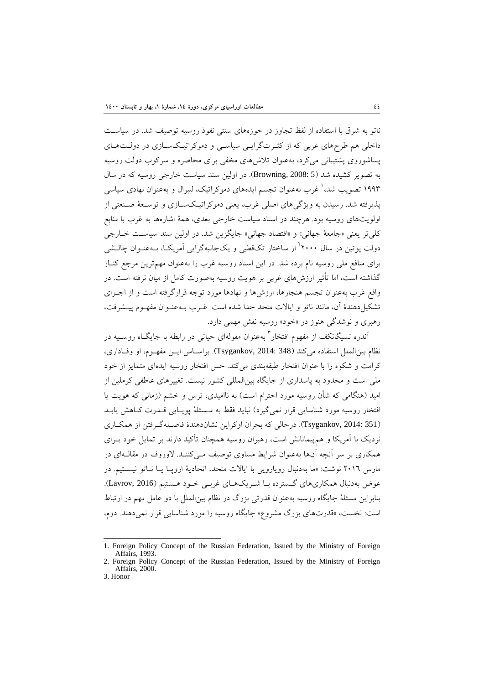ناتو به شرق با استفاده از لفظ تجاوز در حوزههاي سنتي نفوذ روسيه توصيف شد. در سياسـت داخلي هم طرحهاي غربي كه از كثـرتگرايـي سياسـي و دموكراتيـكسـازي در دولـتهـاي پساشوروي پشتيباني ميكرد، بهعنوان تلاشهاي مخفي براي محاصره و سركوب دولت روسيه به تصوير كشيده شد (5 2008: ,Browning(. در اولين سند سياست خارجي روسيه كه در سال غرب بهعنوان تجسم ايدههاي دموكراتيك، ليبرال و بهعنوان نهادي سياسي <sup>1</sup> 1993 تصويب شد، پذيرفته شد. رسيدن به ويژگيهاي اصلي غرب، يعني دموكراتيـكسـازي و توسـعة صـنعتي از اولويتهاي روسيه بود. هرچند در اسناد سياست خارجي بعدي، همة اشارهها به غرب با منابع كليتر يعني «جامعة جهاني» و «اقتصاد جهاني» جايگزين شد. در اولين سند سياسـت خـارجي دولت پوتين در سال ۲۰۰۰<sup>۲</sup> از ساختار تكـقطبي و يكجانبهگرايي آمريكـا، بـهعنـوان چالـشي براي منافع ملي روسيه نام برده شد. در اين اسناد روسيه غرب را بهعنوان مهمترين مرجع كنـار گذاشته است، اما تأثير ارزشهاي غربي بر هويت روسيه بهصورت كامل از ميان نرفته است. در واقع غرب بهعنوان تجسم هنجارها، ارزشها و نهادها مورد توجه قرارگرفته است و از اجـزاي تشكيلدهندة آن، مانند ناتو و ايالات متحد جدا شده است. غـرب بـهعنـوان مفهـوم پيـشرفت، رهبري و نوشدگي هنوز در «خود» روسيه نقش مهمي دارد.

آندره تسيگانكف از مفهوم افتخار<sup>۳</sup> بهعنوان مقولهای حيات<sub>ی</sub> در رابطه با جايگــاه روســيه در نظام بينالملل استفاده ميكند (348 2014: ,Tsygankov(. براسـاس ايـن مفهـوم، او وفـاداري، كرامت و شكوه را با عنوان افتخار طبقهبندي ميكند. حس افتخار روسيه ايدهاي متمايز از خود ملي است و محدود به پاسداري از جايگاه بينالمللي كشور نيست. تغييرهاي عاطفي كرملين از اميد (هنگامي كه شأن روسيه مورد احترام است) به نااميدي، ترس و خشم (زماني كه هويت يا افتخار روسيه مورد شناسايي قرار نميگيرد) نبايد فقط به مـسئلة پويـايي قـدرت كـاهش يابـد (351 2014: ,Tsygankov(. درحالي كه بحران اوكراين نشاندهندة فاصـلهگـرفتن از همكـاري نزديك با آمريكا و همپيمانانش است، رهبران روسيه همچنان تأكيد دارند بر تمايل خود بـراي همكاري بر سر آنچه آنها بهعنوان شرايط مساوي توصيف مـيكننـد. لاوروف در مقالـهاي در مارس 2016 نوشت: «ما بهدنبال رويارويي با ايالات متحد، اتحادية اروپـا يـا نـاتو نيـستيم. در عوض بهدنبال همكاريهاي گـسترده بـا شـريكهـاي غربـي خـود هـستيم (2016 ,Lavrov(. بنابراين مسئلة جايگاه روسيه بهعنوان قدرتي بزرگ در نظام بينالملل با دو عامل مهم در ارتباط است: نخست، «قدرتهاي بزرگ مشروع» جايگاه روسيه را مورد شناسايي قرار نميدهند. دوم،

<sup>1.</sup> Foreign Policy Concept of the Russian Federation, Issued by the Ministry of Foreign Affairs, 1993.

<sup>2.</sup> Foreign Policy Concept of the Russian Federation, Issued by the Ministry of Foreign Affairs, 2000. 3. Honor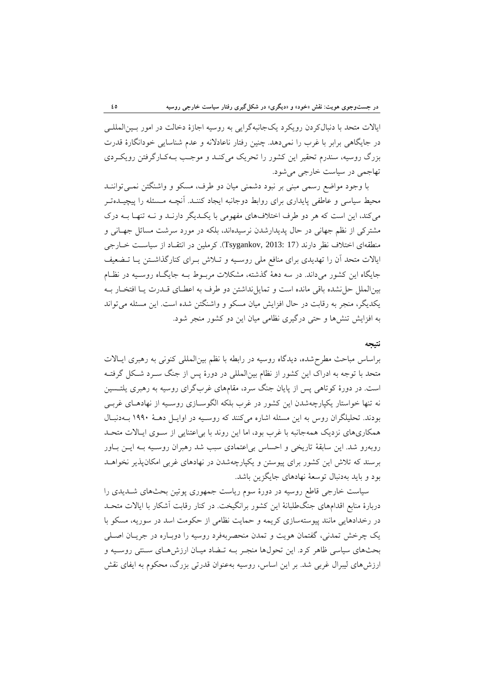ايالات متحد با دنبالكردن رويكرد يكجانبهگرايي به روسيه اجازة دخالت در امور بـينالمللـي در جايگاهي برابر با غرب را نمي دهد. چنين رفتار ناعادلانه و عدم شناسايي خودانگارهٔ قدرت بزرگ روسيه، سندرم تحقير اين كشور را تحريك ميكنـد و موجـب بـهكـارگرفتن رويكـردي تهاجمي در سياست خارجي ميشود.

با وجود مواضع رسمي مبني بر نبود دشمني ميان دو طرف، مسكو و واشنگتن نمـيتواننـد محيط سياسي و عاطفي پايداري براي روابط دوجانبه ايجاد كننـد. آنچـه مـسئله را پيچيـدهتـر ميكند، اين است كه هر دو طرف اختلافهاي مفهومي با يكـديگر دارنـد و نـه تنهـا بـه درك مشتركي از نظم جهاني در حال پديدارشدن نرسيدهاند، بلكه در مورد سرشت مسائل جهـاني و منطقهاي اختلاف نظر دارند (17 2013: ,Tsygankov(. كرملين در انتقـاد از سياسـت خـارجي ايالات متحد آن را تهديدي براي منافع ملي روسـيه و تـلاش بـراي كنارگذاشـتن يـا تـضعيف جايگاه اين كشور ميداند. در سه دهة گذشته، مشكلات مربـوط بـه جايگـاه روسـيه در نظـام بينالملل حلنشده باقي مانده است و تمايلنداشتن دو طرف به اعطـاي قـدرت يـا افتخـار بـه يكديگر، منجر به رقابت در حال افزايش ميان مسكو و واشنگتن شده است. اين مسئله ميتواند به افزايش تنشها و حتي درگيري نظامي ميان اين دو كشور منجر شود.

#### **نتيجه**

براساس مباحث مطرحشده، ديدگاه روسيه در رابطه با نظم بينالمللي كنوني به رهبري ايـالات متحد با توجه به ادراك اين كشور از نظام بينالمللي در دورة پس از جنگ سـرد شـكل گرفتـه است. در دورة كوتاهي پس از پايان جنگ سرد، مقامهاي غربگراي روسيه به رهبري يلتـسين نه تنها خواستار يكپارچهشدن اين كشور در غرب بلكه الگوسـازي روسـيه از نهادهـاي غربـي بودند. تحليلگران روس به اين مسئله اشاره ميكنند كه روسـيه در اوايـل دهـة 1990 بـهدنبـال همكاريهاي نزديك همهجانبه با غرب بود، اما اين روند با بياعتنايي از سـوي ايـالات متحـد روبهرو شد. اين سابقة تاريخي و احساس بياعتمادي سبب شد رهبران روسـيه بـه ايـن بـاور برسند كه تلاش اين كشور براي پيوستن و يكپارچهشدن در نهادهاي غربي امكانپذير نخواهـد بود و بايد بهدنبال توسعة نهادهاي جايگزين باشد.

سياست خارجي قاطع روسيه در دورة سوم رياست جمهوري پوتين بحثهاي شـديدي را دربارة منابع اقدامهاي جنگطلبانة اين كشور برانگيخت. در كنار رقابت آشكار با ايالات متحـد در رخدادهايي مانند پيوستهسازي كريمه و حمايت نظامي از حكومت اسد در سوريه، مسكو با يك چرخش تمدني، گفتمان هويت و تمدن منحصربهفرد روسيه را دوبـاره در جريـان اصـلي بحثهاي سياسي ظاهر كرد. اين تحولها منجـر بـه تـضاد ميـان ارزشهـاي سـنتي روسـيه و ارزشهاي ليبرال غربي شد. بر اين اساس، روسيه بهعنوان قدرتي بزرگ، محكوم به ايفاي نقش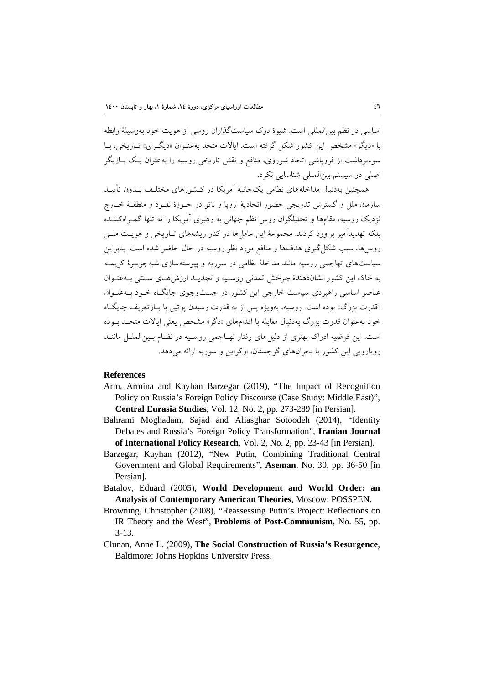اساسي در نظم بينالمللي است. شيوة درك سياستگذاران روسي از هويت خود بهوسيلة رابطه با «ديگر» مشخص اين كشور شكل گرفته است. ايالات متحد بهعنـوان «ديگـري» تـاريخي، بـا سوءبرداشت از فروپاشي اتحاد شوروي، منافع و نقش تاريخي روسيه را بهعنوان يـك بـازيگر اصلي در سيستم بينالمللي شناسايي نكرد.

همچنين بهدنبال مداخلههاي نظامي يكجانبة آمريكا در كـشورهاي مختلـف بـدون تأييـد سازمان ملل و گسترش تدريجي حضور اتحادية اروپا و ناتو در حـوزة نفـوذ و منطقـة خـارج نزديك روسيه، مقامها و تحليلگران روس نظم جهاني به رهبري آمريكا را نه تنها گمـراهكننـده بلكه تهديدآميز براورد كردند. مجموعة اين عاملها در كنار ريشههاي تـاريخي و هويـت ملـي روسها، سبب شكلگيري هدفها و منافع مورد نظر روسيه در حال حاضر شده است. بنابراين سياستهاي تهاجمي روسيه مانند مداخلة نظامي در سوريه و پيوستهسازي شبهجزيـرة كريمـه به خاك اين كشور نشاندهندة چرخش تمدني روسـيه و تجديـد ارزشهـاي سـنتي بـهعنـوان عناصر اساسي راهبردي سياست خارجي اين كشور در جستوجوي جايگـاه خـود بـهعنـوان «قدرت بزرگ» بوده است. روسيه، بهويژه پس از به قدرت رسيدن پوتين با بـازتعريف جايگـاه خود بهعنوان قدرت بزرگ بهدنبال مقابله با اقدامهاي «دگر» مشخص يعني ايالات متحـد بـوده است. اين فرضيه ادراك بهتري از دليلهاي رفتار تهـاجمي روسـيه در نظـام بـينالملـل ماننـد رويارويي اين كشور با بحرانهاي گرجستان، اوكراين و سوريه ارائه ميدهد.

#### **References**

- Arm, Armina and Kayhan Barzegar (2019), "The Impact of Recognition Policy on Russia's Foreign Policy Discourse (Case Study: Middle East)", **Central Eurasia Studies**, Vol. 12, No. 2, pp. 273-289 [in Persian].
- Bahrami Moghadam, Sajad and Aliasghar Sotoodeh (2014), "Identity Debates and Russia's Foreign Policy Transformation", **Iranian Journal of International Policy Research**, Vol. 2, No. 2, pp. 23-43 [in Persian].
- Barzegar, Kayhan (2012), "New Putin, Combining Traditional Central Government and Global Requirements", **Aseman**, No. 30, pp. 36-50 [in Persian].
- Batalov, Eduard (2005), **World Development and World Order: an Analysis of Contemporary American Theories**, Moscow: POSSPEN.
- Browning, Christopher (2008), "Reassessing Putin's Project: Reflections on IR Theory and the West", **Problems of Post-Communism**, No. 55, pp. 3-13.
- Clunan, Anne L. (2009), **The Social Construction of Russia's Resurgence**, Baltimore: Johns Hopkins University Press.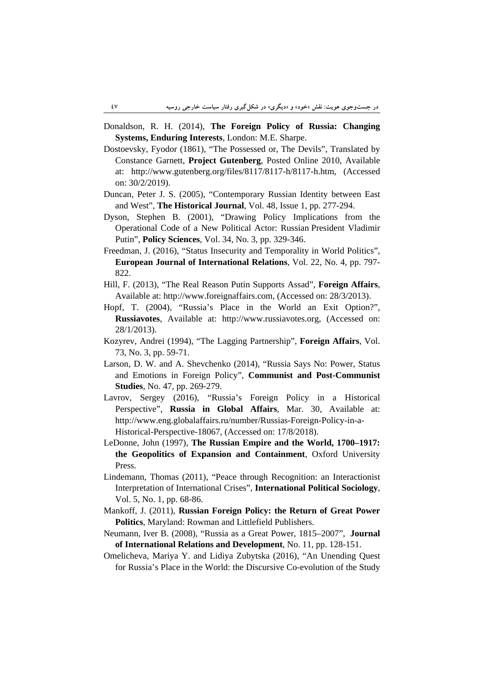- Donaldson, R. H. (2014), **The Foreign Policy of Russia: Changing Systems, Enduring Interests**, London: M.E. Sharpe.
- Dostoevsky, Fyodor (1861), "The Possessed or, The Devils", Translated by Constance Garnett, **Project Gutenberg**, Posted Online 2010, Available at: http://www.gutenberg.org/files/8117/8117-h/8117-h.htm, (Accessed on: 30/2/2019).
- Duncan, Peter J. S. (2005), "Contemporary Russian Identity between East and West", **The Historical Journal**, Vol. 48, Issue 1, pp. 277-294.
- Dyson, Stephen B. (2001), "Drawing Policy Implications from the Operational Code of a New Political Actor: Russian President Vladimir Putin", **Policy Sciences**, Vol. 34, No. 3, pp. 329-346.
- Freedman, J. (2016), "Status Insecurity and Temporality in World Politics", **European Journal of International Relations**, Vol. 22, No. 4, pp. 797- 822.
- Hill, F. (2013), "The Real Reason Putin Supports Assad", **Foreign Affairs**, Available at: http://www.foreignaffairs.com, (Accessed on: 28/3/2013).
- Hopf, T. (2004), "Russia's Place in the World an Exit Option?", **Russiavotes**, Available at: http://www.russiavotes.org, (Accessed on: 28/1/2013).
- Kozyrev, Andrei (1994), "The Lagging Partnership", **Foreign Affairs**, Vol. 73, No. 3, pp. 59-71.
- Larson, D. W. and A. Shevchenko (2014), "Russia Says No: Power, Status and Emotions in Foreign Policy", **Communist and Post-Communist Studies**, No. 47, pp. 269-279.
- Lavrov, Sergey (2016), "Russia's Foreign Policy in a Historical Perspective", **Russia in Global Affairs**, Mar. 30, Available at: http://www.eng.globalaffairs.ru/number/Russias-Foreign-Policy-in-a-Historical-Perspective-18067, (Accessed on: 17/8/2018).
- LeDonne, John (1997), **The Russian Empire and the World, 1700–1917: the Geopolitics of Expansion and Containment**, Oxford University Press.
- Lindemann, Thomas (2011), "Peace through Recognition: an Interactionist Interpretation of International Crises", **International Political Sociology**, Vol. 5, No. 1, pp. 68-86.
- Mankoff, J. (2011), **Russian Foreign Policy: the Return of Great Power Politics**, Maryland: Rowman and Littlefield Publishers.
- Neumann, Iver B. (2008), "Russia as a Great Power, 1815–2007", **Journal of International Relations and Development**, No. 11, pp. 128-151.
- Omelicheva, Mariya Y. and Lidiya Zubytska (2016), "An Unending Quest for Russia's Place in the World: the Discursive Co-evolution of the Study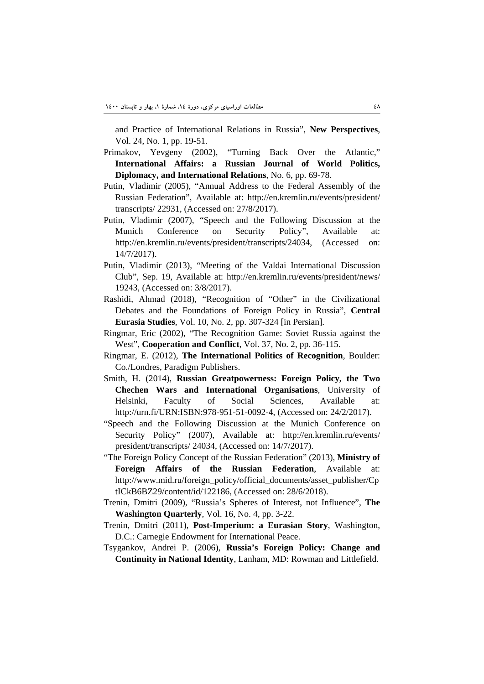and Practice of International Relations in Russia", **New Perspectives**, Vol. 24, No. 1, pp. 19-51.

- Primakov, Yevgeny (2002), "Turning Back Over the Atlantic," **International Affairs: a Russian Journal of World Politics, Diplomacy, and International Relations**, No. 6, pp. 69-78.
- Putin, Vladimir (2005), "Annual Address to the Federal Assembly of the Russian Federation", Available at: http://en.kremlin.ru/events/president/ transcripts/ 22931, (Accessed on: 27/8/2017).
- Putin, Vladimir (2007), "Speech and the Following Discussion at the Munich Conference on Security Policy", Available at: http://en.kremlin.ru/events/president/transcripts/24034, (Accessed on: 14/7/2017).
- Putin, Vladimir (2013), "Meeting of the Valdai International Discussion Club", Sep. 19, Available at: http://en.kremlin.ru/events/president/news/ 19243, (Accessed on: 3/8/2017).
- Rashidi, Ahmad (2018), "Recognition of "Other" in the Civilizational Debates and the Foundations of Foreign Policy in Russia", **Central Eurasia Studies**, Vol. 10, No. 2, pp. 307-324 [in Persian].
- Ringmar, Eric (2002), "The Recognition Game: Soviet Russia against the West", **Cooperation and Conflict**, Vol. 37, No. 2, pp. 36-115.
- Ringmar, E. (2012), **The International Politics of Recognition**, Boulder: Co./Londres, Paradigm Publishers.
- Smith, H. (2014), **Russian Greatpowerness: Foreign Policy, the Two Chechen Wars and International Organisations**, University of Helsinki, Faculty of Social Sciences, Available at: http://urn.fi/URN:ISBN:978-951-51-0092-4, (Accessed on: 24/2/2017).
- "Speech and the Following Discussion at the Munich Conference on Security Policy" (2007), Available at: http://en.kremlin.ru/events/ president/transcripts/ 24034, (Accessed on: 14/7/2017).
- "The Foreign Policy Concept of the Russian Federation" (2013), **Ministry of Foreign Affairs of the Russian Federation**, Available at: http://www.mid.ru/foreign\_policy/official\_documents/asset\_publisher/Cp tICkB6BZ29/content/id/122186, (Accessed on: 28/6/2018).
- Trenin, Dmitri (2009), "Russia's Spheres of Interest, not Influence", **The Washington Quarterly**, Vol. 16, No. 4, pp. 3-22.
- Trenin, Dmitri (2011), **Post-Imperium: a Eurasian Story**, Washington, D.C.: Carnegie Endowment for International Peace.
- Tsygankov, Andrei P. (2006), **Russia's Foreign Policy: Change and Continuity in National Identity**, Lanham, MD: Rowman and Littlefield.